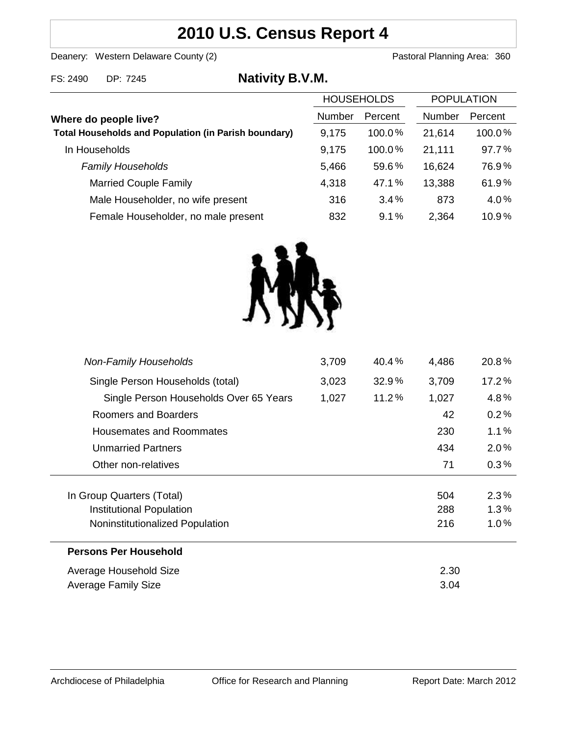# **2010 U.S. Census Report 4**

Deanery: Western Delaware County (2) Deanery: Western Delaware County (2)

| FS: 2490 | DP: 7245 | <b>Nativity B.V.M.</b> |
|----------|----------|------------------------|
|----------|----------|------------------------|

|        | <b>HOUSEHOLDS</b> |               | <b>POPULATION</b> |  |
|--------|-------------------|---------------|-------------------|--|
| Number | Percent           | <b>Number</b> | Percent           |  |
| 9,175  | $100.0\%$         | 21,614        | 100.0%            |  |
| 9,175  | $100.0\%$         | 21,111        | 97.7%             |  |
| 5,466  | 59.6%             | 16,624        | 76.9%             |  |
| 4,318  | 47.1%             | 13,388        | 61.9%             |  |
| 316    | 3.4%              | 873           | 4.0%              |  |
| 832    | 9.1%              | 2,364         | 10.9%             |  |
|        |                   |               |                   |  |



| <b>Non-Family Households</b>           | 3,709 | 40.4%    | 4,486 | 20.8%   |
|----------------------------------------|-------|----------|-------|---------|
| Single Person Households (total)       | 3,023 | 32.9%    | 3,709 | 17.2%   |
| Single Person Households Over 65 Years | 1,027 | $11.2\%$ | 1,027 | 4.8%    |
| Roomers and Boarders                   |       |          | 42    | 0.2%    |
| Housemates and Roommates               |       |          | 230   | 1.1%    |
| <b>Unmarried Partners</b>              |       |          | 434   | $2.0\%$ |
| Other non-relatives                    |       |          | 71    | 0.3%    |
|                                        |       |          |       |         |
| In Group Quarters (Total)              |       |          | 504   | $2.3\%$ |
| Institutional Population               |       |          | 288   | 1.3%    |
| Noninstitutionalized Population        |       |          | 216   | 1.0%    |
| <b>Persons Per Household</b>           |       |          |       |         |
| Average Household Size                 |       |          | 2.30  |         |
| Average Family Size                    |       |          | 3.04  |         |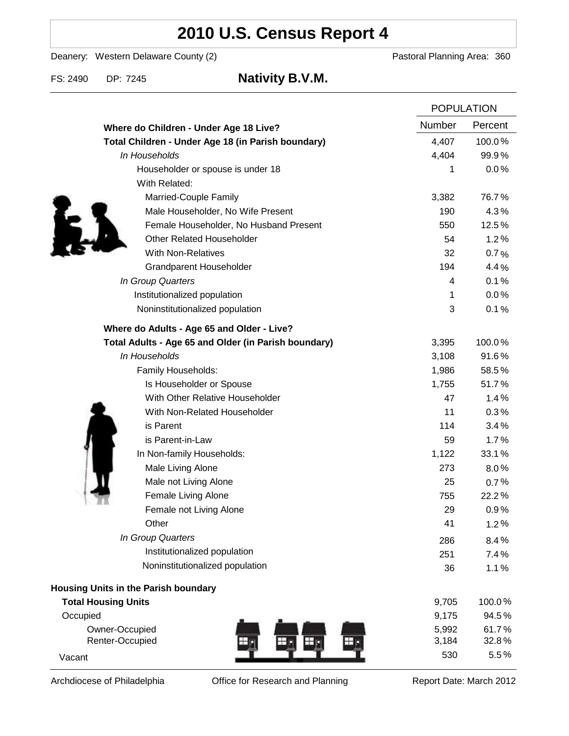# **2010 U.S. Census Report 4**

Deanery: Western Delaware County (2) Deanery: Western Delaware County (2)

FS: 2490 DP: 7245 **Nativity B.V.M.**

|                                                      | <b>POPULATION</b> |         |
|------------------------------------------------------|-------------------|---------|
| Where do Children - Under Age 18 Live?               | <b>Number</b>     | Percent |
| Total Children - Under Age 18 (in Parish boundary)   | 4,407             | 100.0%  |
| In Households                                        | 4,404             | 99.9%   |
| Householder or spouse is under 18                    | 1                 | 0.0%    |
| With Related:                                        |                   |         |
| Married-Couple Family                                | 3,382             | 76.7%   |
| Male Householder, No Wife Present                    | 190               | 4.3%    |
| Female Householder, No Husband Present               | 550               | 12.5%   |
| <b>Other Related Householder</b>                     | 54                | 1.2%    |
| <b>With Non-Relatives</b>                            | 32                | 0.7%    |
| <b>Grandparent Householder</b>                       | 194               | 4.4%    |
| In Group Quarters                                    | 4                 | 0.1%    |
| Institutionalized population                         | 1                 | 0.0%    |
| Noninstitutionalized population                      | 3                 | 0.1%    |
| Where do Adults - Age 65 and Older - Live?           |                   |         |
| Total Adults - Age 65 and Older (in Parish boundary) | 3,395             | 100.0%  |
| In Households                                        | 3,108             | 91.6%   |
| Family Households:                                   | 1,986             | 58.5%   |
| Is Householder or Spouse                             | 1,755             | 51.7%   |
| With Other Relative Householder                      | 47                | 1.4%    |
| With Non-Related Householder                         | 11                | 0.3%    |
| is Parent                                            | 114               | 3.4%    |
| is Parent-in-Law                                     | 59                | 1.7%    |
| In Non-family Households:                            | 1,122             | 33.1%   |
| Male Living Alone                                    | 273               | $8.0\%$ |
| Male not Living Alone                                | 25                | 0.7%    |
| Female Living Alone                                  | 755               | 22.2%   |
| Female not Living Alone                              | 29                | 0.9%    |
| Other                                                | 41                | 1.2%    |
| In Group Quarters                                    | 286               | 8.4%    |
| Institutionalized population                         | 251               | 7.4%    |
| Noninstitutionalized population                      | 36                | 1.1%    |
| <b>Housing Units in the Parish boundary</b>          |                   |         |
| <b>Total Housing Units</b>                           | 9,705             | 100.0%  |
| Occupied                                             | 9,175             | 94.5%   |
| Owner-Occupied                                       | 5,992             | 61.7%   |
| Renter-Occupied                                      | 3,184             | 32.8%   |
| Vacant                                               | 530               | 5.5%    |

Archdiocese of Philadelphia **Office for Research and Planning** Report Date: March 2012